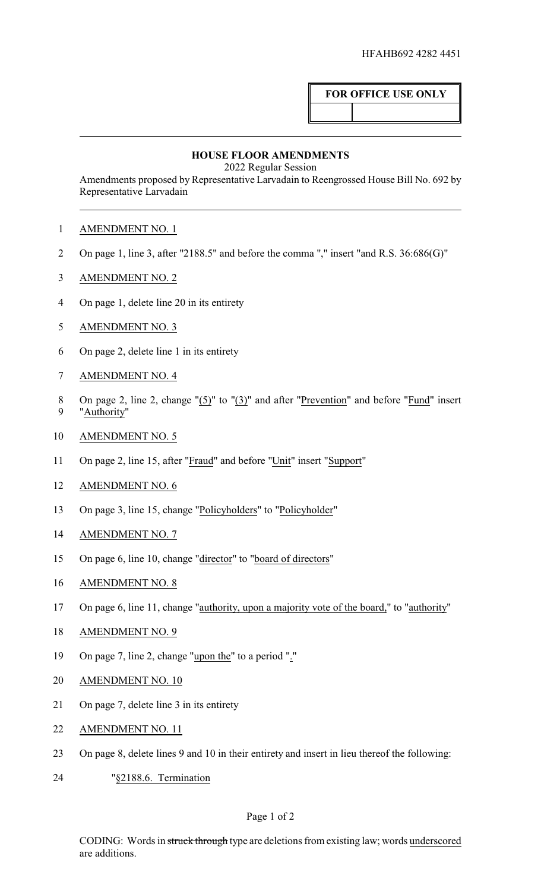## **FOR OFFICE USE ONLY**

## **HOUSE FLOOR AMENDMENTS**

2022 Regular Session

Amendments proposed by Representative Larvadain to Reengrossed House Bill No. 692 by Representative Larvadain

- AMENDMENT NO. 1
- On page 1, line 3, after "2188.5" and before the comma "," insert "and R.S. 36:686(G)"
- AMENDMENT NO. 2
- On page 1, delete line 20 in its entirety
- AMENDMENT NO. 3
- On page 2, delete line 1 in its entirety
- AMENDMENT NO. 4
- On page 2, line 2, change "(5)" to "(3)" and after "Prevention" and before "Fund" insert "Authority"
- AMENDMENT NO. 5
- On page 2, line 15, after "Fraud" and before "Unit" insert "Support"
- AMENDMENT NO. 6
- 13 On page 3, line 15, change "Policyholders" to "Policyholder"
- AMENDMENT NO. 7
- 15 On page 6, line 10, change "director" to "board of directors"
- AMENDMENT NO. 8
- On page 6, line 11, change "authority, upon a majority vote of the board," to "authority"
- AMENDMENT NO. 9
- On page 7, line 2, change "upon the" to a period "."
- AMENDMENT NO. 10
- On page 7, delete line 3 in its entirety
- AMENDMENT NO. 11
- On page 8, delete lines 9 and 10 in their entirety and insert in lieu thereof the following:
- "§2188.6. Termination